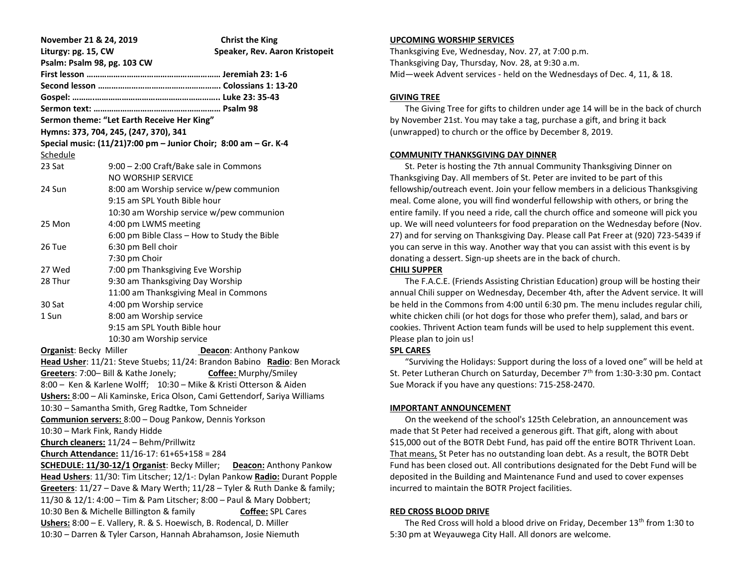| November 21 & 24, 2019<br>Liturgy: pg. 15, CW                                 |                                              | <b>Christ the King</b><br>Speaker, Rev. Aaron Kristopeit |
|-------------------------------------------------------------------------------|----------------------------------------------|----------------------------------------------------------|
| Psalm: Psalm 98, pg. 103 CW                                                   |                                              |                                                          |
|                                                                               |                                              |                                                          |
|                                                                               |                                              |                                                          |
|                                                                               |                                              |                                                          |
|                                                                               |                                              |                                                          |
| Sermon theme: "Let Earth Receive Her King"                                    |                                              |                                                          |
| Hymns: 373, 704, 245, (247, 370), 341                                         |                                              |                                                          |
| Special music: (11/21)7:00 pm - Junior Choir; 8:00 am - Gr. K-4               |                                              |                                                          |
| Schedule                                                                      |                                              |                                                          |
| 23 Sat                                                                        | 9:00 - 2:00 Craft/Bake sale in Commons       |                                                          |
|                                                                               | NO WORSHIP SERVICE                           |                                                          |
| 24 Sun                                                                        | 8:00 am Worship service w/pew communion      |                                                          |
|                                                                               | 9:15 am SPL Youth Bible hour                 |                                                          |
|                                                                               | 10:30 am Worship service w/pew communion     |                                                          |
| 25 Mon                                                                        | 4:00 pm LWMS meeting                         |                                                          |
|                                                                               | 6:00 pm Bible Class - How to Study the Bible |                                                          |
| 26 Tue                                                                        | 6:30 pm Bell choir                           |                                                          |
|                                                                               | 7:30 pm Choir                                |                                                          |
| 27 Wed                                                                        | 7:00 pm Thanksgiving Eve Worship             |                                                          |
| 28 Thur                                                                       | 9:30 am Thanksgiving Day Worship             |                                                          |
|                                                                               | 11:00 am Thanksgiving Meal in Commons        |                                                          |
| 30 Sat                                                                        | 4:00 pm Worship service                      |                                                          |
| 1 Sun                                                                         | 8:00 am Worship service                      |                                                          |
|                                                                               | 9:15 am SPL Youth Bible hour                 |                                                          |
|                                                                               | 10:30 am Worship service                     |                                                          |
| <b>Organist: Becky Miller</b><br><b>Deacon:</b> Anthony Pankow                |                                              |                                                          |
| Head Usher: 11/21: Steve Stuebs; 11/24: Brandon Babino Radio: Ben Morack      |                                              |                                                          |
| Greeters: 7:00- Bill & Kathe Jonely;<br><b>Coffee:</b> Murphy/Smiley          |                                              |                                                          |
| 8:00 - Ken & Karlene Wolff; 10:30 - Mike & Kristi Otterson & Aiden            |                                              |                                                          |
| Ushers: 8:00 - Ali Kaminske, Erica Olson, Cami Gettendorf, Sariya Williams    |                                              |                                                          |
| 10:30 - Samantha Smith, Greg Radtke, Tom Schneider                            |                                              |                                                          |
| Communion servers: 8:00 - Doug Pankow, Dennis Yorkson                         |                                              |                                                          |
| 10:30 - Mark Fink, Randy Hidde                                                |                                              |                                                          |
| Church cleaners: 11/24 - Behm/Prillwitz                                       |                                              |                                                          |
| Church Attendance: 11/16-17: 61+65+158 = 284                                  |                                              |                                                          |
| SCHEDULE: 11/30-12/1 Organist: Becky Miller;<br><b>Deacon:</b> Anthony Pankow |                                              |                                                          |
| Head Ushers: 11/30: Tim Litscher; 12/1-: Dylan Pankow Radio: Durant Popple    |                                              |                                                          |
| Greeters: 11/27 - Dave & Mary Werth; 11/28 - Tyler & Ruth Danke & family;     |                                              |                                                          |
| 11/30 & 12/1: 4:00 - Tim & Pam Litscher; 8:00 - Paul & Mary Dobbert;          |                                              |                                                          |
| 10:30 Ben & Michelle Billington & family<br>Coffee: SPL Cares                 |                                              |                                                          |
| Ushers: 8:00 - E. Vallery, R. & S. Hoewisch, B. Rodencal, D. Miller           |                                              |                                                          |
| 10:30 - Darren & Tyler Carson, Hannah Abrahamson, Josie Niemuth               |                                              |                                                          |
|                                                                               |                                              |                                                          |

## **UPCOMING WORSHIP SERVICES**

Thanksgiving Eve, Wednesday, Nov. 27, at 7:00 p.m. Thanksgiving Day, Thursday, Nov. 28, at 9:30 a.m. Mid—week Advent services - held on the Wednesdays of Dec. 4, 11, & 18.

## **GIVING TREE**

 The Giving Tree for gifts to children under age 14 will be in the back of church by November 21st. You may take a tag, purchase a gift, and bring it back (unwrapped) to church or the office by December 8, 2019.

## **COMMUNITY THANKSGIVING DAY DINNER**

 St. Peter is hosting the 7th annual Community Thanksgiving Dinner on Thanksgiving Day. All members of St. Peter are invited to be part of this fellowship/outreach event. Join your fellow members in a delicious Thanksgiving meal. Come alone, you will find wonderful fellowship with others, or bring the entire family. If you need a ride, call the church office and someone will pick you up. We will need volunteers for food preparation on the Wednesday before (Nov. 27) and for serving on Thanksgiving Day. Please call Pat Freer at (920) 723-5439 if you can serve in this way. Another way that you can assist with this event is by donating a dessert. Sign-up sheets are in the back of church.

## **CHILI SUPPER**

 The F.A.C.E. (Friends Assisting Christian Education) group will be hosting their annual Chili supper on Wednesday, December 4th, after the Advent service. It will be held in the Commons from 4:00 until 6:30 pm. The menu includes regular chili, white chicken chili (or hot dogs for those who prefer them), salad, and bars or cookies. Thrivent Action team funds will be used to help supplement this event. Please plan to join us!

## **SPL CARES**

 "Surviving the Holidays: Support during the loss of a loved one" will be held at St. Peter Lutheran Church on Saturday, December 7<sup>th</sup> from 1:30-3:30 pm. Contact Sue Morack if you have any questions: 715-258-2470.

## **IMPORTANT ANNOUNCEMENT**

On the weekend of the school's 125th Celebration, an announcement was made that St Peter had received a generous gift. That gift, along with about \$15,000 out of the BOTR Debt Fund, has paid off the entire BOTR Thrivent Loan. That means, St Peter has no outstanding loan debt. As a result, the BOTR Debt Fund has been closed out. All contributions designated for the Debt Fund will be deposited in the Building and Maintenance Fund and used to cover expenses incurred to maintain the BOTR Project facilities.

#### **RED CROSS BLOOD DRIVE**

The Red Cross will hold a blood drive on Friday, December  $13<sup>th</sup>$  from 1:30 to 5:30 pm at Weyauwega City Hall. All donors are welcome.